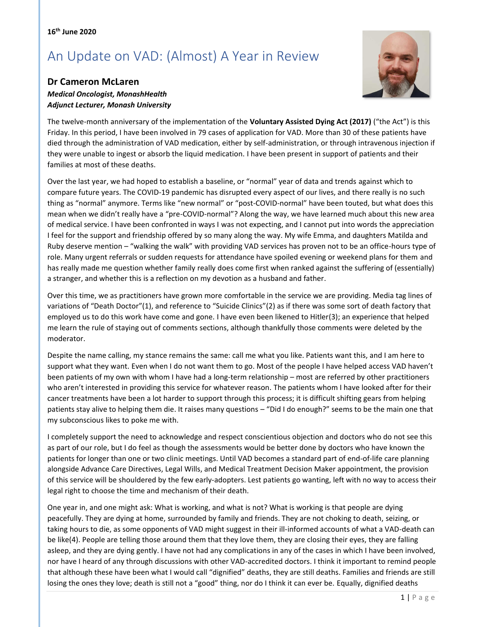## An Update on VAD: (Almost) A Year in Review



## **Dr Cameron McLaren**

## *Medical Oncologist, MonashHealth Adjunct Lecturer, Monash University*

The twelve-month anniversary of the implementation of the **Voluntary Assisted Dying Act (2017)** ("the Act") is this Friday. In this period, I have been involved in 79 cases of application for VAD. More than 30 of these patients have died through the administration of VAD medication, either by self-administration, or through intravenous injection if they were unable to ingest or absorb the liquid medication. I have been present in support of patients and their families at most of these deaths.

Over the last year, we had hoped to establish a baseline, or "normal" year of data and trends against which to compare future years. The COVID-19 pandemic has disrupted every aspect of our lives, and there really is no such thing as "normal" anymore. Terms like "new normal" or "post-COVID-normal" have been touted, but what does this mean when we didn't really have a "pre-COVID-normal"? Along the way, we have learned much about this new area of medical service. I have been confronted in ways I was not expecting, and I cannot put into words the appreciation I feel for the support and friendship offered by so many along the way. My wife Emma, and daughters Matilda and Ruby deserve mention – "walking the walk" with providing VAD services has proven not to be an office-hours type of role. Many urgent referrals or sudden requests for attendance have spoiled evening or weekend plans for them and has really made me question whether family really does come first when ranked against the suffering of (essentially) a stranger, and whether this is a reflection on my devotion as a husband and father.

Over this time, we as practitioners have grown more comfortable in the service we are providing. Media tag lines of variations of "Death Doctor"(1), and reference to "Suicide Clinics"(2) as if there was some sort of death factory that employed us to do this work have come and gone. I have even been likened to Hitler(3); an experience that helped me learn the rule of staying out of comments sections, although thankfully those comments were deleted by the moderator.

Despite the name calling, my stance remains the same: call me what you like. Patients want this, and I am here to support what they want. Even when I do not want them to go. Most of the people I have helped access VAD haven't been patients of my own with whom I have had a long-term relationship – most are referred by other practitioners who aren't interested in providing this service for whatever reason. The patients whom I have looked after for their cancer treatments have been a lot harder to support through this process; it is difficult shifting gears from helping patients stay alive to helping them die. It raises many questions – "Did I do enough?" seems to be the main one that my subconscious likes to poke me with.

I completely support the need to acknowledge and respect conscientious objection and doctors who do not see this as part of our role, but I do feel as though the assessments would be better done by doctors who have known the patients for longer than one or two clinic meetings. Until VAD becomes a standard part of end-of-life care planning alongside Advance Care Directives, Legal Wills, and Medical Treatment Decision Maker appointment, the provision of this service will be shouldered by the few early-adopters. Lest patients go wanting, left with no way to access their legal right to choose the time and mechanism of their death.

One year in, and one might ask: What is working, and what is not? What is working is that people are dying peacefully. They are dying at home, surrounded by family and friends. They are not choking to death, seizing, or taking hours to die, as some opponents of VAD might suggest in their ill-informed accounts of what a VAD-death can be like(4). People are telling those around them that they love them, they are closing their eyes, they are falling asleep, and they are dying gently. I have not had any complications in any of the cases in which I have been involved, nor have I heard of any through discussions with other VAD-accredited doctors. I think it important to remind people that although these have been what I would call "dignified" deaths, they are still deaths. Families and friends are still losing the ones they love; death is still not a "good" thing, nor do I think it can ever be. Equally, dignified deaths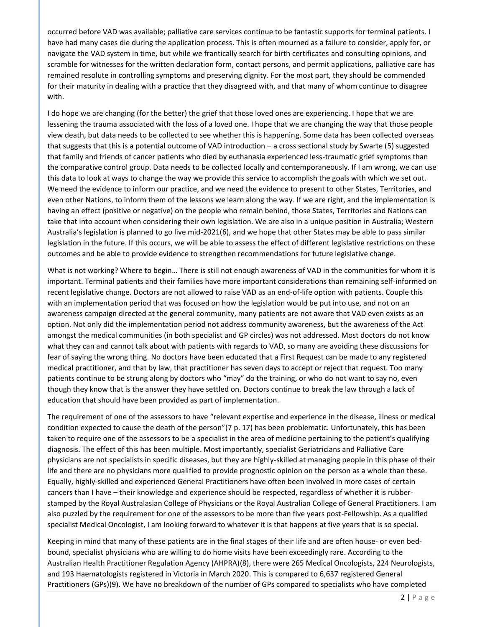occurred before VAD was available; palliative care services continue to be fantastic supports for terminal patients. I have had many cases die during the application process. This is often mourned as a failure to consider, apply for, or navigate the VAD system in time, but while we frantically search for birth certificates and consulting opinions, and scramble for witnesses for the written declaration form, contact persons, and permit applications, palliative care has remained resolute in controlling symptoms and preserving dignity. For the most part, they should be commended for their maturity in dealing with a practice that they disagreed with, and that many of whom continue to disagree with.

I do hope we are changing (for the better) the grief that those loved ones are experiencing. I hope that we are lessening the trauma associated with the loss of a loved one. I hope that we are changing the way that those people view death, but data needs to be collected to see whether this is happening. Some data has been collected overseas that suggests that this is a potential outcome of VAD introduction – a cross sectional study by Swarte (5) suggested that family and friends of cancer patients who died by euthanasia experienced less-traumatic grief symptoms than the comparative control group. Data needs to be collected locally and contemporaneously. If I am wrong, we can use this data to look at ways to change the way we provide this service to accomplish the goals with which we set out. We need the evidence to inform our practice, and we need the evidence to present to other States, Territories, and even other Nations, to inform them of the lessons we learn along the way. If we are right, and the implementation is having an effect (positive or negative) on the people who remain behind, those States, Territories and Nations can take that into account when considering their own legislation. We are also in a unique position in Australia; Western Australia's legislation is planned to go live mid-2021(6), and we hope that other States may be able to pass similar legislation in the future. If this occurs, we will be able to assess the effect of different legislative restrictions on these outcomes and be able to provide evidence to strengthen recommendations for future legislative change.

What is not working? Where to begin… There is still not enough awareness of VAD in the communities for whom it is important. Terminal patients and their families have more important considerations than remaining self-informed on recent legislative change. Doctors are not allowed to raise VAD as an end-of-life option with patients. Couple this with an implementation period that was focused on how the legislation would be put into use, and not on an awareness campaign directed at the general community, many patients are not aware that VAD even exists as an option. Not only did the implementation period not address community awareness, but the awareness of the Act amongst the medical communities (in both specialist and GP circles) was not addressed. Most doctors do not know what they can and cannot talk about with patients with regards to VAD, so many are avoiding these discussions for fear of saying the wrong thing. No doctors have been educated that a First Request can be made to any registered medical practitioner, and that by law, that practitioner has seven days to accept or reject that request. Too many patients continue to be strung along by doctors who "may" do the training, or who do not want to say no, even though they know that is the answer they have settled on. Doctors continue to break the law through a lack of education that should have been provided as part of implementation.

The requirement of one of the assessors to have "relevant expertise and experience in the disease, illness or medical condition expected to cause the death of the person"(7 p. 17) has been problematic. Unfortunately, this has been taken to require one of the assessors to be a specialist in the area of medicine pertaining to the patient's qualifying diagnosis. The effect of this has been multiple. Most importantly, specialist Geriatricians and Palliative Care physicians are not specialists in specific diseases, but they are highly-skilled at managing people in this phase of their life and there are no physicians more qualified to provide prognostic opinion on the person as a whole than these. Equally, highly-skilled and experienced General Practitioners have often been involved in more cases of certain cancers than I have – their knowledge and experience should be respected, regardless of whether it is rubberstamped by the Royal Australasian College of Physicians or the Royal Australian College of General Practitioners. I am also puzzled by the requirement for one of the assessors to be more than five years post-Fellowship. As a qualified specialist Medical Oncologist, I am looking forward to whatever it is that happens at five years that is so special.

Keeping in mind that many of these patients are in the final stages of their life and are often house- or even bedbound, specialist physicians who are willing to do home visits have been exceedingly rare. According to the Australian Health Practitioner Regulation Agency (AHPRA)(8), there were 265 Medical Oncologists, 224 Neurologists, and 193 Haematologists registered in Victoria in March 2020. This is compared to 6,637 registered General Practitioners (GPs)(9). We have no breakdown of the number of GPs compared to specialists who have completed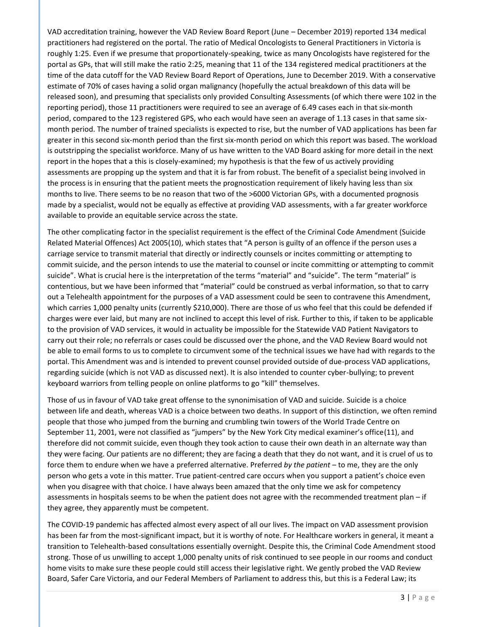VAD accreditation training, however the VAD Review Board Report (June – December 2019) reported 134 medical practitioners had registered on the portal. The ratio of Medical Oncologists to General Practitioners in Victoria is roughly 1:25. Even if we presume that proportionately-speaking, twice as many Oncologists have registered for the portal as GPs, that will still make the ratio 2:25, meaning that 11 of the 134 registered medical practitioners at the time of the data cutoff for the VAD Review Board Report of Operations, June to December 2019. With a conservative estimate of 70% of cases having a solid organ malignancy (hopefully the actual breakdown of this data will be released soon), and presuming that specialists only provided Consulting Assessments (of which there were 102 in the reporting period), those 11 practitioners were required to see an average of 6.49 cases each in that six-month period, compared to the 123 registered GPS, who each would have seen an average of 1.13 cases in that same sixmonth period. The number of trained specialists is expected to rise, but the number of VAD applications has been far greater in this second six-month period than the first six-month period on which this report was based. The workload is outstripping the specialist workforce. Many of us have written to the VAD Board asking for more detail in the next report in the hopes that a this is closely-examined; my hypothesis is that the few of us actively providing assessments are propping up the system and that it is far from robust. The benefit of a specialist being involved in the process is in ensuring that the patient meets the prognostication requirement of likely having less than six months to live. There seems to be no reason that two of the >6000 Victorian GPs, with a documented prognosis made by a specialist, would not be equally as effective at providing VAD assessments, with a far greater workforce available to provide an equitable service across the state.

The other complicating factor in the specialist requirement is the effect of the Criminal Code Amendment (Suicide Related Material Offences) Act 2005(10), which states that "A person is guilty of an offence if the person uses a carriage service to transmit material that directly or indirectly counsels or incites committing or attempting to commit suicide, and the person intends to use the material to counsel or incite committing or attempting to commit suicide". What is crucial here is the interpretation of the terms "material" and "suicide". The term "material" is contentious, but we have been informed that "material" could be construed as verbal information, so that to carry out a Telehealth appointment for the purposes of a VAD assessment could be seen to contravene this Amendment, which carries 1,000 penalty units (currently \$210,000). There are those of us who feel that this could be defended if charges were ever laid, but many are not inclined to accept this level of risk. Further to this, if taken to be applicable to the provision of VAD services, it would in actuality be impossible for the Statewide VAD Patient Navigators to carry out their role; no referrals or cases could be discussed over the phone, and the VAD Review Board would not be able to email forms to us to complete to circumvent some of the technical issues we have had with regards to the portal. This Amendment was and is intended to prevent counsel provided outside of due-process VAD applications, regarding suicide (which is not VAD as discussed next). It is also intended to counter cyber-bullying; to prevent keyboard warriors from telling people on online platforms to go "kill" themselves.

Those of us in favour of VAD take great offense to the synonimisation of VAD and suicide. Suicide is a choice between life and death, whereas VAD is a choice between two deaths. In support of this distinction, we often remind people that those who jumped from the burning and crumbling twin towers of the World Trade Centre on September 11, 2001, were not classified as "jumpers" by the New York City medical examiner's office(11), and therefore did not commit suicide, even though they took action to cause their own death in an alternate way than they were facing. Our patients are no different; they are facing a death that they do not want, and it is cruel of us to force them to endure when we have a preferred alternative. Preferred *by the patient* – to me, they are the only person who gets a vote in this matter. True patient-centred care occurs when you support a patient's choice even when you disagree with that choice. I have always been amazed that the only time we ask for competency assessments in hospitals seems to be when the patient does not agree with the recommended treatment plan – if they agree, they apparently must be competent.

The COVID-19 pandemic has affected almost every aspect of all our lives. The impact on VAD assessment provision has been far from the most-significant impact, but it is worthy of note. For Healthcare workers in general, it meant a transition to Telehealth-based consultations essentially overnight. Despite this, the Criminal Code Amendment stood strong. Those of us unwilling to accept 1,000 penalty units of risk continued to see people in our rooms and conduct home visits to make sure these people could still access their legislative right. We gently probed the VAD Review Board, Safer Care Victoria, and our Federal Members of Parliament to address this, but this is a Federal Law; its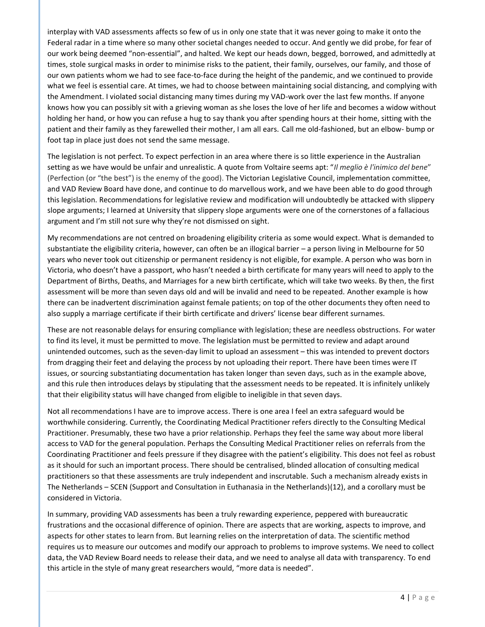interplay with VAD assessments affects so few of us in only one state that it was never going to make it onto the Federal radar in a time where so many other societal changes needed to occur. And gently we did probe, for fear of our work being deemed "non-essential", and halted. We kept our heads down, begged, borrowed, and admittedly at times, stole surgical masks in order to minimise risks to the patient, their family, ourselves, our family, and those of our own patients whom we had to see face-to-face during the height of the pandemic, and we continued to provide what we feel is essential care. At times, we had to choose between maintaining social distancing, and complying with the Amendment. I violated social distancing many times during my VAD-work over the last few months. If anyone knows how you can possibly sit with a grieving woman as she loses the love of her life and becomes a widow without holding her hand, or how you can refuse a hug to say thank you after spending hours at their home, sitting with the patient and their family as they farewelled their mother, I am all ears. Call me old-fashioned, but an elbow- bump or foot tap in place just does not send the same message.

The legislation is not perfect. To expect perfection in an area where there is so little experience in the Australian setting as we have would be unfair and unrealistic. A quote from Voltaire seems apt: "*Il meglio è l'inimico del bene*" (Perfection (or "the best") is the enemy of the good). The Victorian Legislative Council, implementation committee, and VAD Review Board have done, and continue to do marvellous work, and we have been able to do good through this legislation. Recommendations for legislative review and modification will undoubtedly be attacked with slippery slope arguments; I learned at University that slippery slope arguments were one of the cornerstones of a fallacious argument and I'm still not sure why they're not dismissed on sight.

My recommendations are not centred on broadening eligibility criteria as some would expect. What is demanded to substantiate the eligibility criteria, however, can often be an illogical barrier – a person living in Melbourne for 50 years who never took out citizenship or permanent residency is not eligible, for example. A person who was born in Victoria, who doesn't have a passport, who hasn't needed a birth certificate for many years will need to apply to the Department of Births, Deaths, and Marriages for a new birth certificate, which will take two weeks. By then, the first assessment will be more than seven days old and will be invalid and need to be repeated. Another example is how there can be inadvertent discrimination against female patients; on top of the other documents they often need to also supply a marriage certificate if their birth certificate and drivers' license bear different surnames.

These are not reasonable delays for ensuring compliance with legislation; these are needless obstructions. For water to find its level, it must be permitted to move. The legislation must be permitted to review and adapt around unintended outcomes, such as the seven-day limit to upload an assessment – this was intended to prevent doctors from dragging their feet and delaying the process by not uploading their report. There have been times were IT issues, or sourcing substantiating documentation has taken longer than seven days, such as in the example above, and this rule then introduces delays by stipulating that the assessment needs to be repeated. It is infinitely unlikely that their eligibility status will have changed from eligible to ineligible in that seven days.

Not all recommendations I have are to improve access. There is one area I feel an extra safeguard would be worthwhile considering. Currently, the Coordinating Medical Practitioner refers directly to the Consulting Medical Practitioner. Presumably, these two have a prior relationship. Perhaps they feel the same way about more liberal access to VAD for the general population. Perhaps the Consulting Medical Practitioner relies on referrals from the Coordinating Practitioner and feels pressure if they disagree with the patient's eligibility. This does not feel as robust as it should for such an important process. There should be centralised, blinded allocation of consulting medical practitioners so that these assessments are truly independent and inscrutable. Such a mechanism already exists in The Netherlands – SCEN (Support and Consultation in Euthanasia in the Netherlands)(12), and a corollary must be considered in Victoria.

In summary, providing VAD assessments has been a truly rewarding experience, peppered with bureaucratic frustrations and the occasional difference of opinion. There are aspects that are working, aspects to improve, and aspects for other states to learn from. But learning relies on the interpretation of data. The scientific method requires us to measure our outcomes and modify our approach to problems to improve systems. We need to collect data, the VAD Review Board needs to release their data, and we need to analyse all data with transparency. To end this article in the style of many great researchers would, "more data is needed".